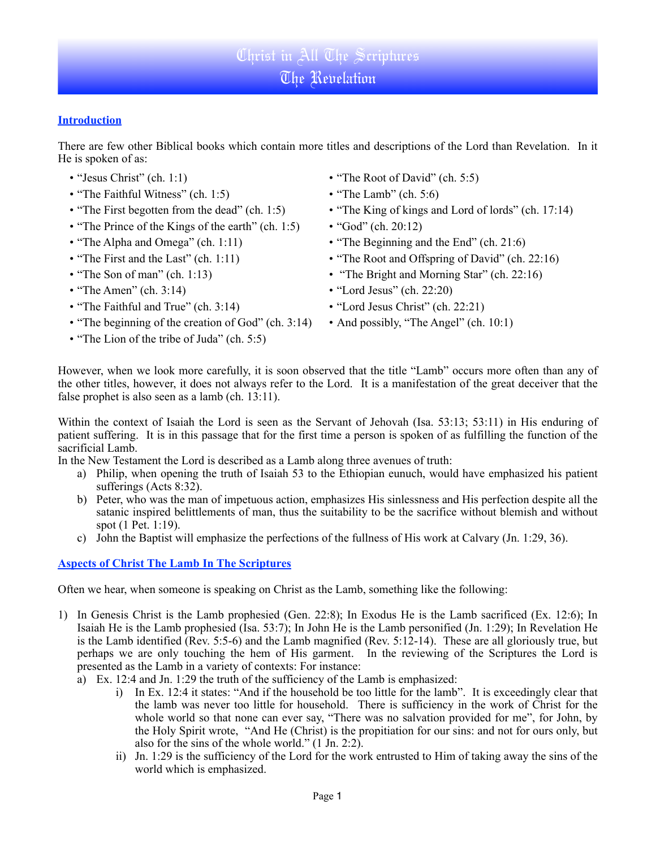# **Introduction**

There are few other Biblical books which contain more titles and descriptions of the Lord than Revelation. In it He is spoken of as:

- "Jesus Christ" (ch. 1:1)
- "The Faithful Witness" (ch. 1:5)
- "The First begotten from the dead" (ch. 1:5)
- "The Prince of the Kings of the earth" (ch. 1:5)
- "The Alpha and Omega" (ch. 1:11)
- "The First and the Last" (ch. 1:11)
- "The Son of man" (ch. 1:13)
- $\cdot$  "The Amen" (ch. 3:14)
- "The Faithful and True" (ch. 3:14)
- "The beginning of the creation of God" (ch. 3:14)
- "The Lion of the tribe of Juda" (ch. 5:5)
- "The Root of David" (ch. 5:5)
- "The Lamb" (ch. 5:6)
- "The King of kings and Lord of lords" (ch. 17:14)
- "God" (ch. 20:12)
- "The Beginning and the End" (ch. 21:6)
- "The Root and Offspring of David" (ch. 22:16)
- "The Bright and Morning Star" (ch. 22:16)
- "Lord Jesus" (ch. 22:20)
- "Lord Jesus Christ" (ch. 22:21)
- And possibly, "The Angel" (ch. 10:1)

However, when we look more carefully, it is soon observed that the title "Lamb" occurs more often than any of the other titles, however, it does not always refer to the Lord. It is a manifestation of the great deceiver that the false prophet is also seen as a lamb (ch. 13:11).

Within the context of Isaiah the Lord is seen as the Servant of Jehovah (Isa. 53:13; 53:11) in His enduring of patient suffering. It is in this passage that for the first time a person is spoken of as fulfilling the function of the sacrificial Lamb.

In the New Testament the Lord is described as a Lamb along three avenues of truth:

- a) Philip, when opening the truth of Isaiah 53 to the Ethiopian eunuch, would have emphasized his patient sufferings (Acts 8:32).
- b) Peter, who was the man of impetuous action, emphasizes His sinlessness and His perfection despite all the satanic inspired belittlements of man, thus the suitability to be the sacrifice without blemish and without spot (1 Pet. 1:19).
- c) John the Baptist will emphasize the perfections of the fullness of His work at Calvary (Jn. 1:29, 36).

# **Aspects of Christ The Lamb In The Scriptures**

Often we hear, when someone is speaking on Christ as the Lamb, something like the following:

- 1) In Genesis Christ is the Lamb prophesied (Gen. 22:8); In Exodus He is the Lamb sacrificed (Ex. 12:6); In Isaiah He is the Lamb prophesied (Isa. 53:7); In John He is the Lamb personified (Jn. 1:29); In Revelation He is the Lamb identified (Rev. 5:5-6) and the Lamb magnified (Rev. 5:12-14). These are all gloriously true, but perhaps we are only touching the hem of His garment. In the reviewing of the Scriptures the Lord is presented as the Lamb in a variety of contexts: For instance:
	- a) Ex. 12:4 and Jn. 1:29 the truth of the sufficiency of the Lamb is emphasized:
		- i) In Ex. 12:4 it states: "And if the household be too little for the lamb". It is exceedingly clear that the lamb was never too little for household. There is sufficiency in the work of Christ for the whole world so that none can ever say, "There was no salvation provided for me", for John, by the Holy Spirit wrote, "And He (Christ) is the propitiation for our sins: and not for ours only, but also for the sins of the whole world." (1 Jn. 2:2).
		- ii) Jn. 1:29 is the sufficiency of the Lord for the work entrusted to Him of taking away the sins of the world which is emphasized.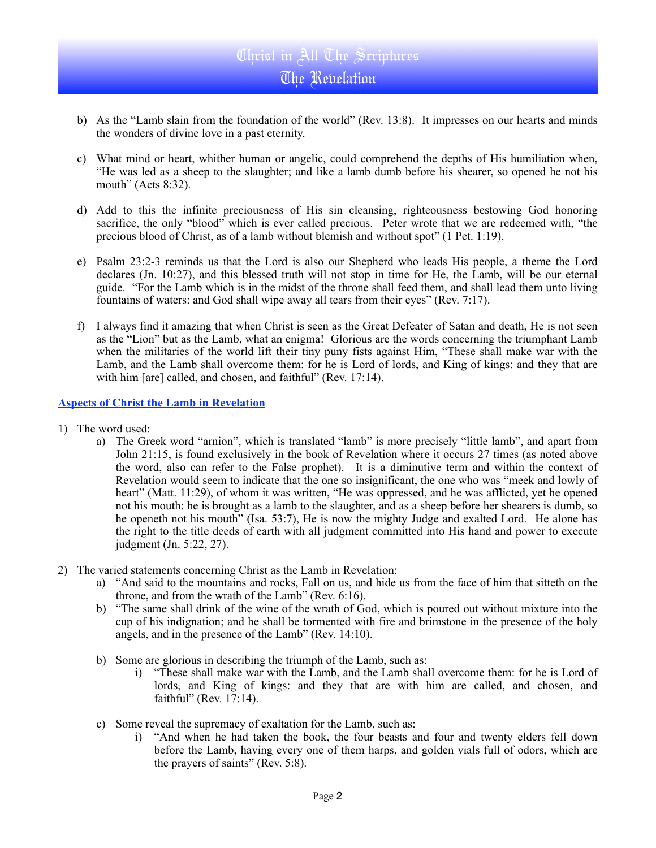- b) As the "Lamb slain from the foundation of the world" (Rev. 13:8). It impresses on our hearts and minds the wonders of divine love in a past eternity.
- c) What mind or heart, whither human or angelic, could comprehend the depths of His humiliation when, "He was led as a sheep to the slaughter; and like a lamb dumb before his shearer, so opened he not his mouth" (Acts 8:32).
- d) Add to this the infinite preciousness of His sin cleansing, righteousness bestowing God honoring sacrifice, the only "blood" which is ever called precious. Peter wrote that we are redeemed with, "the precious blood of Christ, as of a lamb without blemish and without spot" (1 Pet. 1:19).
- e) Psalm 23:2-3 reminds us that the Lord is also our Shepherd who leads His people, a theme the Lord declares (Jn. 10:27), and this blessed truth will not stop in time for He, the Lamb, will be our eternal guide. "For the Lamb which is in the midst of the throne shall feed them, and shall lead them unto living fountains of waters: and God shall wipe away all tears from their eyes" (Rev. 7:17).
- f) I always find it amazing that when Christ is seen as the Great Defeater of Satan and death, He is not seen as the "Lion" but as the Lamb, what an enigma! Glorious are the words concerning the triumphant Lamb when the militaries of the world lift their tiny puny fists against Him, "These shall make war with the Lamb, and the Lamb shall overcome them: for he is Lord of lords, and King of kings: and they that are with him [are] called, and chosen, and faithful" (Rev. 17:14).

#### **Aspects of Christ the Lamb in Revelation**

- 1) The word used:
	- a) The Greek word "arnion", which is translated "lamb" is more precisely "little lamb", and apart from John 21:15, is found exclusively in the book of Revelation where it occurs 27 times (as noted above the word, also can refer to the False prophet). It is a diminutive term and within the context of Revelation would seem to indicate that the one so insignificant, the one who was "meek and lowly of heart" (Matt. 11:29), of whom it was written, "He was oppressed, and he was afflicted, yet he opened not his mouth: he is brought as a lamb to the slaughter, and as a sheep before her shearers is dumb, so he openeth not his mouth" (Isa. 53:7), He is now the mighty Judge and exalted Lord. He alone has the right to the title deeds of earth with all judgment committed into His hand and power to execute judgment (Jn. 5:22, 27).
- 2) The varied statements concerning Christ as the Lamb in Revelation:
	- a) "And said to the mountains and rocks, Fall on us, and hide us from the face of him that sitteth on the throne, and from the wrath of the Lamb" (Rev. 6:16).
	- b) "The same shall drink of the wine of the wrath of God, which is poured out without mixture into the cup of his indignation; and he shall be tormented with fire and brimstone in the presence of the holy angels, and in the presence of the Lamb" (Rev. 14:10).
	- b) Some are glorious in describing the triumph of the Lamb, such as:
		- i) "These shall make war with the Lamb, and the Lamb shall overcome them: for he is Lord of lords, and King of kings: and they that are with him are called, and chosen, and faithful" (Rev. 17:14).
	- c) Some reveal the supremacy of exaltation for the Lamb, such as:
		- i) "And when he had taken the book, the four beasts and four and twenty elders fell down before the Lamb, having every one of them harps, and golden vials full of odors, which are the prayers of saints" (Rev. 5:8).